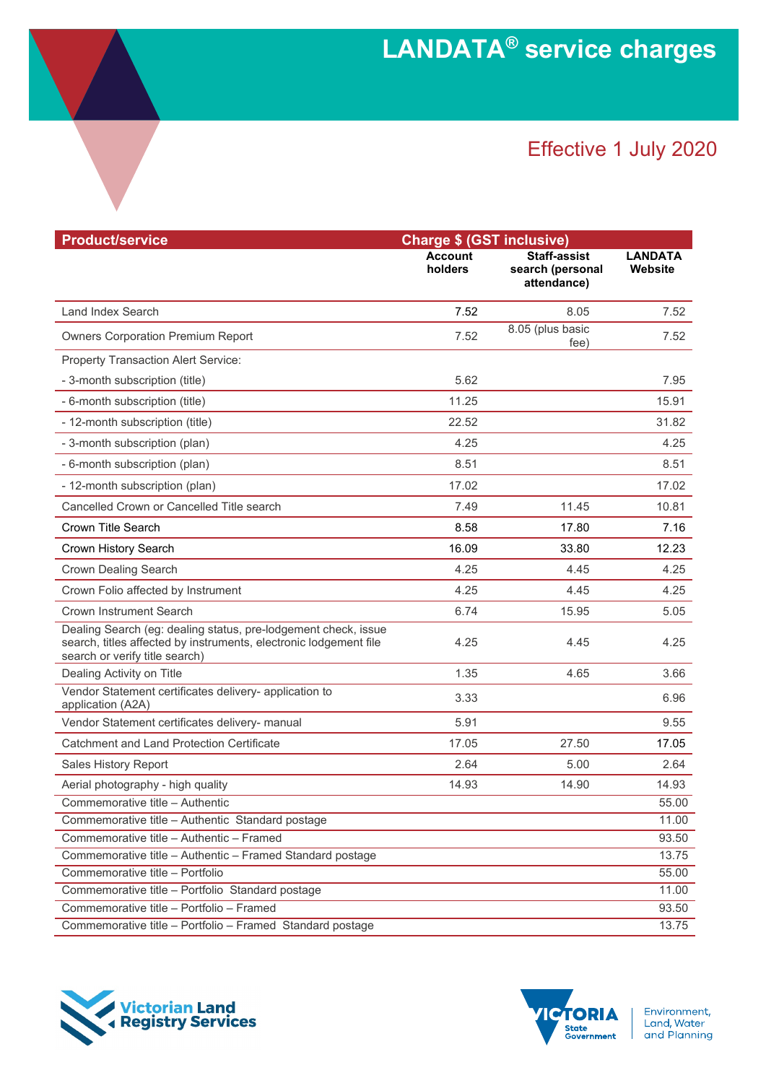## Effective 1 July 2020

| <b>Product/service</b>                                                                                                                                                | <b>Charge \$ (GST inclusive)</b> |                                                        |                           |  |
|-----------------------------------------------------------------------------------------------------------------------------------------------------------------------|----------------------------------|--------------------------------------------------------|---------------------------|--|
|                                                                                                                                                                       | <b>Account</b><br>holders        | <b>Staff-assist</b><br>search (personal<br>attendance) | <b>LANDATA</b><br>Website |  |
| Land Index Search                                                                                                                                                     | 7.52                             | 8.05                                                   | 7.52                      |  |
| <b>Owners Corporation Premium Report</b>                                                                                                                              | 7.52                             | 8.05 (plus basic<br>fee)                               | 7.52                      |  |
| <b>Property Transaction Alert Service:</b>                                                                                                                            |                                  |                                                        |                           |  |
| - 3-month subscription (title)                                                                                                                                        | 5.62                             |                                                        | 7.95                      |  |
| - 6-month subscription (title)                                                                                                                                        | 11.25                            |                                                        | 15.91                     |  |
| - 12-month subscription (title)                                                                                                                                       | 22.52                            |                                                        | 31.82                     |  |
| - 3-month subscription (plan)                                                                                                                                         | 4.25                             |                                                        | 4.25                      |  |
| - 6-month subscription (plan)                                                                                                                                         | 8.51                             |                                                        | 8.51                      |  |
| - 12-month subscription (plan)                                                                                                                                        | 17.02                            |                                                        | 17.02                     |  |
| Cancelled Crown or Cancelled Title search                                                                                                                             | 7.49                             | 11.45                                                  | 10.81                     |  |
| Crown Title Search                                                                                                                                                    | 8.58                             | 17.80                                                  | 7.16                      |  |
| Crown History Search                                                                                                                                                  | 16.09                            | 33.80                                                  | 12.23                     |  |
| <b>Crown Dealing Search</b>                                                                                                                                           | 4.25                             | 4.45                                                   | 4.25                      |  |
| Crown Folio affected by Instrument                                                                                                                                    | 4.25                             | 4.45                                                   | 4.25                      |  |
| <b>Crown Instrument Search</b>                                                                                                                                        | 6.74                             | 15.95                                                  | 5.05                      |  |
| Dealing Search (eg: dealing status, pre-lodgement check, issue<br>search, titles affected by instruments, electronic lodgement file<br>search or verify title search) | 4.25                             | 4.45                                                   | 4.25                      |  |
| Dealing Activity on Title                                                                                                                                             | 1.35                             | 4.65                                                   | 3.66                      |  |
| Vendor Statement certificates delivery- application to<br>application (A2A)                                                                                           | 3.33                             |                                                        | 6.96                      |  |
| Vendor Statement certificates delivery- manual                                                                                                                        | 5.91                             |                                                        | 9.55                      |  |
| Catchment and Land Protection Certificate                                                                                                                             | 17.05                            | 27.50                                                  | 17.05                     |  |
| Sales History Report                                                                                                                                                  | 2.64                             | 5.00                                                   | 2.64                      |  |
| Aerial photography - high quality                                                                                                                                     | 14.93                            | 14.90                                                  | 14.93                     |  |
| Commemorative title - Authentic                                                                                                                                       |                                  |                                                        | 55.00                     |  |
| Commemorative title - Authentic Standard postage                                                                                                                      |                                  |                                                        | 11.00                     |  |
| Commemorative title - Authentic - Framed                                                                                                                              |                                  |                                                        | 93.50                     |  |
| Commemorative title - Authentic - Framed Standard postage                                                                                                             |                                  |                                                        | 13.75                     |  |
| Commemorative title - Portfolio                                                                                                                                       |                                  |                                                        | 55.00                     |  |
| Commemorative title - Portfolio Standard postage                                                                                                                      |                                  |                                                        | 11.00                     |  |
| Commemorative title - Portfolio - Framed                                                                                                                              |                                  |                                                        | 93.50                     |  |
| Commemorative title - Portfolio - Framed Standard postage                                                                                                             |                                  |                                                        | 13.75                     |  |





Environment, Livitannent,<br>Land, Water<br>and Planning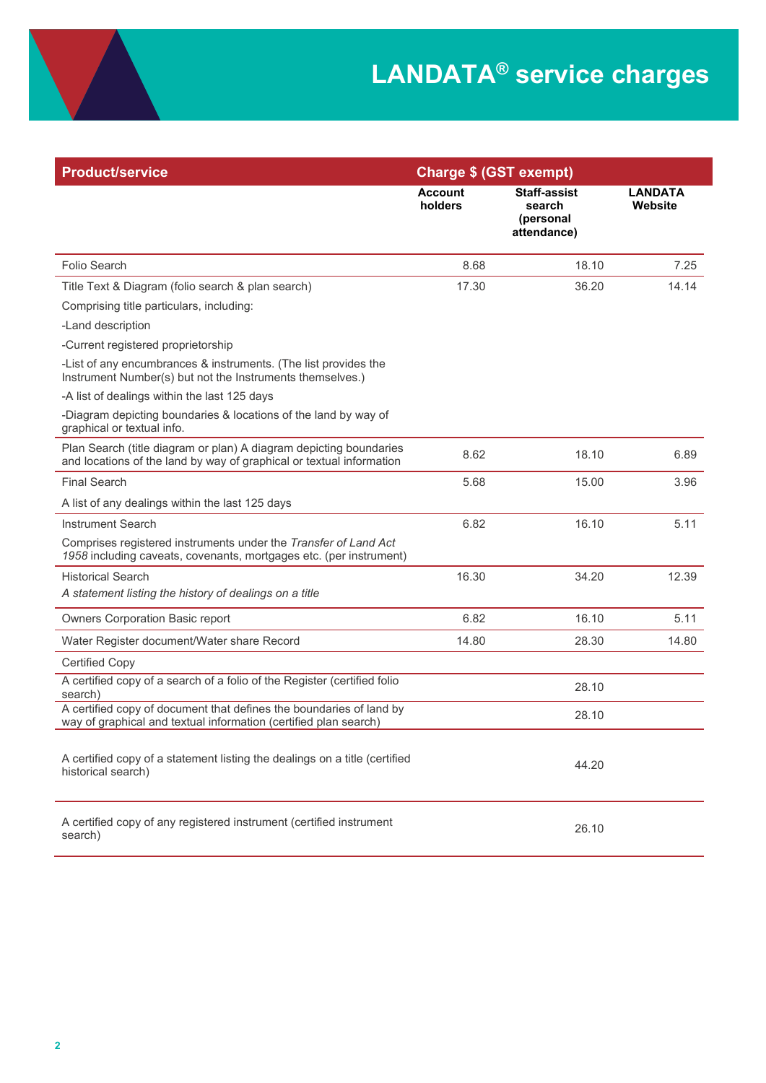| <b>Product/service</b>                                                                                                                     | <b>Charge \$ (GST exempt)</b> |                                                           |                           |
|--------------------------------------------------------------------------------------------------------------------------------------------|-------------------------------|-----------------------------------------------------------|---------------------------|
|                                                                                                                                            | <b>Account</b><br>holders     | <b>Staff-assist</b><br>search<br>(personal<br>attendance) | <b>LANDATA</b><br>Website |
| Folio Search                                                                                                                               | 8.68                          | 18.10                                                     | 7.25                      |
| Title Text & Diagram (folio search & plan search)                                                                                          | 17.30                         | 36.20                                                     | 14.14                     |
| Comprising title particulars, including:                                                                                                   |                               |                                                           |                           |
| -Land description                                                                                                                          |                               |                                                           |                           |
| -Current registered proprietorship                                                                                                         |                               |                                                           |                           |
| -List of any encumbrances & instruments. (The list provides the<br>Instrument Number(s) but not the Instruments themselves.)               |                               |                                                           |                           |
| -A list of dealings within the last 125 days                                                                                               |                               |                                                           |                           |
| -Diagram depicting boundaries & locations of the land by way of<br>graphical or textual info.                                              |                               |                                                           |                           |
| Plan Search (title diagram or plan) A diagram depicting boundaries<br>and locations of the land by way of graphical or textual information | 8.62                          | 18.10                                                     | 6.89                      |
| <b>Final Search</b>                                                                                                                        | 5.68                          | 15.00                                                     | 3.96                      |
| A list of any dealings within the last 125 days                                                                                            |                               |                                                           |                           |
| <b>Instrument Search</b>                                                                                                                   | 6.82                          | 16.10                                                     | 5.11                      |
| Comprises registered instruments under the Transfer of Land Act<br>1958 including caveats, covenants, mortgages etc. (per instrument)      |                               |                                                           |                           |
| <b>Historical Search</b>                                                                                                                   | 16.30                         | 34.20                                                     | 12.39                     |
| A statement listing the history of dealings on a title                                                                                     |                               |                                                           |                           |
| Owners Corporation Basic report                                                                                                            | 6.82                          | 16.10                                                     | 5.11                      |
| Water Register document/Water share Record                                                                                                 | 14.80                         | 28.30                                                     | 14.80                     |
| <b>Certified Copy</b>                                                                                                                      |                               |                                                           |                           |
| A certified copy of a search of a folio of the Register (certified folio<br>search)                                                        |                               | 28.10                                                     |                           |
| A certified copy of document that defines the boundaries of land by<br>way of graphical and textual information (certified plan search)    |                               | 28.10                                                     |                           |
| A certified copy of a statement listing the dealings on a title (certified<br>historical search)                                           |                               | 44.20                                                     |                           |
| A certified copy of any registered instrument (certified instrument<br>search)                                                             |                               | 26.10                                                     |                           |